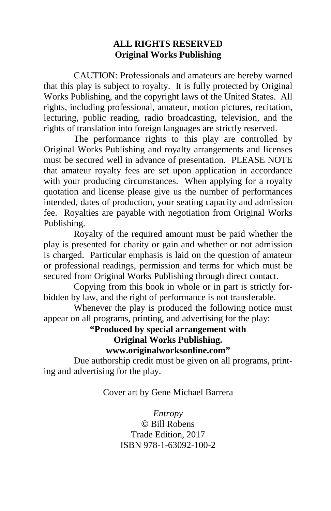## **ALL RIGHTS RESERVED Original Works Publishing**

 CAUTION: Professionals and amateurs are hereby warned that this play is subject to royalty. It is fully protected by Original Works Publishing, and the copyright laws of the United States. All rights, including professional, amateur, motion pictures, recitation, lecturing, public reading, radio broadcasting, television, and the rights of translation into foreign languages are strictly reserved.

 The performance rights to this play are controlled by Original Works Publishing and royalty arrangements and licenses must be secured well in advance of presentation. PLEASE NOTE that amateur royalty fees are set upon application in accordance with your producing circumstances. When applying for a royalty quotation and license please give us the number of performances intended, dates of production, your seating capacity and admission fee. Royalties are payable with negotiation from Original Works Publishing.

 Royalty of the required amount must be paid whether the play is presented for charity or gain and whether or not admission is charged. Particular emphasis is laid on the question of amateur or professional readings, permission and terms for which must be secured from Original Works Publishing through direct contact.

 Copying from this book in whole or in part is strictly forbidden by law, and the right of performance is not transferable.

 Whenever the play is produced the following notice must appear on all programs, printing, and advertising for the play:

> **"Produced by special arrangement with Original Works Publishing. www.originalworksonline.com"**

 Due authorship credit must be given on all programs, printing and advertising for the play.

Cover art by Gene Michael Barrera

*Entropy*  © Bill Robens Trade Edition, 2017 ISBN 978-1-63092-100-2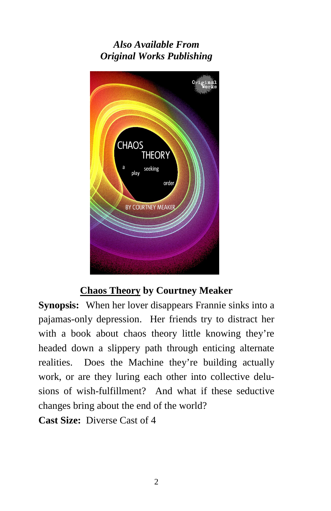# *Also Available From Original Works Publishing*



## **Chaos Theory by Courtney Meaker**

**Synopsis:** When her lover disappears Frannie sinks into a pajamas-only depression. Her friends try to distract her with a book about chaos theory little knowing they're headed down a slippery path through enticing alternate realities. Does the Machine they're building actually work, or are they luring each other into collective delusions of wish-fulfillment? And what if these seductive changes bring about the end of the world?

**Cast Size:** Diverse Cast of 4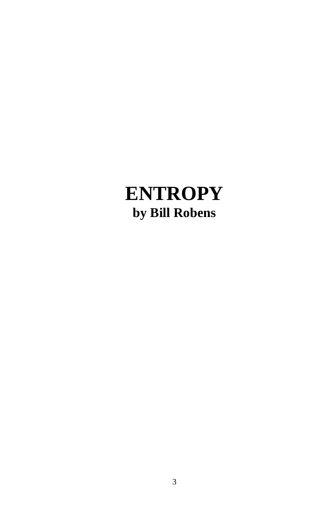# **ENTROPY by Bill Robens**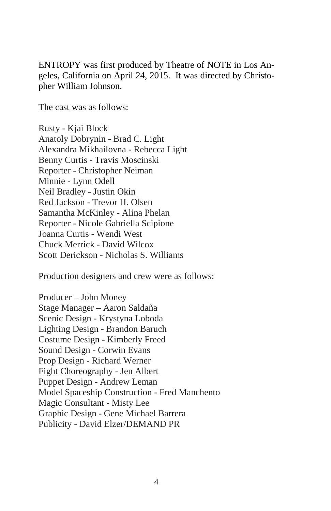ENTROPY was first produced by Theatre of NOTE in Los Angeles, California on April 24, 2015. It was directed by Christopher William Johnson.

The cast was as follows:

Rusty - Kjai Block Anatoly Dobrynin - Brad C. Light Alexandra Mikhailovna - Rebecca Light Benny Curtis - Travis Moscinski Reporter - Christopher Neiman Minnie - Lynn Odell Neil Bradley - Justin Okin Red Jackson - Trevor H. Olsen Samantha McKinley - Alina Phelan Reporter - Nicole Gabriella Scipione Joanna Curtis - Wendi West Chuck Merrick - David Wilcox Scott Derickson - Nicholas S. Williams

Production designers and crew were as follows:

Producer – John Money Stage Manager – Aaron Saldaña Scenic Design - Krystyna Loboda Lighting Design - Brandon Baruch Costume Design - Kimberly Freed Sound Design - Corwin Evans Prop Design - Richard Werner Fight Choreography - Jen Albert Puppet Design - Andrew Leman Model Spaceship Construction - Fred Manchento Magic Consultant - Misty Lee Graphic Design - Gene Michael Barrera Publicity - David Elzer/DEMAND PR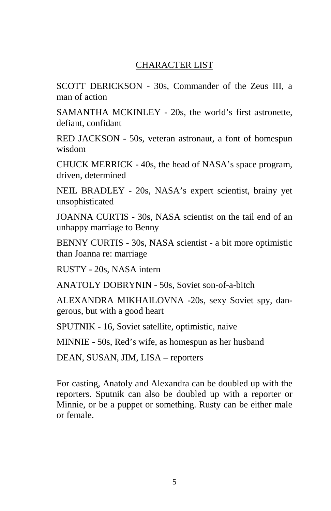## CHARACTER LIST

SCOTT DERICKSON - 30s, Commander of the Zeus III, a man of action

SAMANTHA MCKINLEY - 20s, the world's first astronette, defiant, confidant

RED JACKSON - 50s, veteran astronaut, a font of homespun wisdom

CHUCK MERRICK - 40s, the head of NASA's space program, driven, determined

NEIL BRADLEY - 20s, NASA's expert scientist, brainy yet unsophisticated

JOANNA CURTIS - 30s, NASA scientist on the tail end of an unhappy marriage to Benny

BENNY CURTIS - 30s, NASA scientist - a bit more optimistic than Joanna re: marriage

RUSTY - 20s, NASA intern

ANATOLY DOBRYNIN - 50s, Soviet son-of-a-bitch

ALEXANDRA MIKHAILOVNA -20s, sexy Soviet spy, dangerous, but with a good heart

SPUTNIK - 16, Soviet satellite, optimistic, naive

MINNIE - 50s, Red's wife, as homespun as her husband

DEAN, SUSAN, JIM, LISA – reporters

For casting, Anatoly and Alexandra can be doubled up with the reporters. Sputnik can also be doubled up with a reporter or Minnie, or be a puppet or something. Rusty can be either male or female.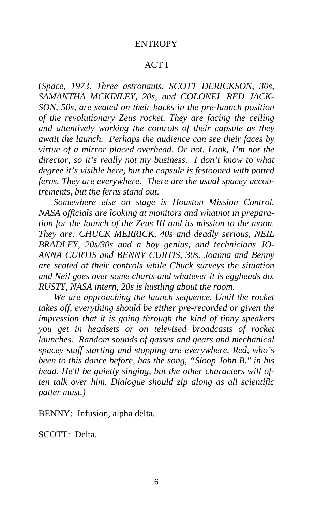#### ENTROPY

### ACT I

(*Space, 1973. Three astronauts, SCOTT DERICKSON, 30s, SAMANTHA MCKINLEY, 20s, and COLONEL RED JACK-SON, 50s, are seated on their backs in the pre-launch position of the revolutionary Zeus rocket. They are facing the ceiling and attentively working the controls of their capsule as they await the launch. Perhaps the audience can see their faces by virtue of a mirror placed overhead. Or not. Look, I'm not the director, so it's really not my business. I don't know to what degree it's visible here, but the capsule is festooned with potted ferns. They are everywhere. There are the usual spacey accoutrements, but the ferns stand out.* 

*Somewhere else on stage is Houston Mission Control. NASA officials are looking at monitors and whatnot in preparation for the launch of the Zeus III and its mission to the moon. They are: CHUCK MERRICK, 40s and deadly serious, NEIL BRADLEY, 20s/30s and a boy genius, and technicians JO-ANNA CURTIS and BENNY CURTIS, 30s. Joanna and Benny are seated at their controls while Chuck surveys the situation and Neil goes over some charts and whatever it is eggheads do. RUSTY, NASA intern, 20s is hustling about the room.*

*We are approaching the launch sequence. Until the rocket takes off, everything should be either pre-recorded or given the impression that it is going through the kind of tinny speakers you get in headsets or on televised broadcasts of rocket launches. Random sounds of gasses and gears and mechanical spacey stuff starting and stopping are everywhere. Red, who's been to this dance before, has the song, "Sloop John B." in his head. He'll be quietly singing, but the other characters will often talk over him. Dialogue should zip along as all scientific patter must.)* 

BENNY: Infusion, alpha delta.

SCOTT: Delta.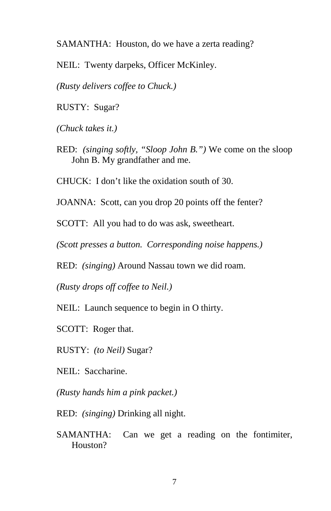SAMANTHA: Houston, do we have a zerta reading?

NEIL: Twenty darpeks, Officer McKinley.

*(Rusty delivers coffee to Chuck.)* 

RUSTY: Sugar?

*(Chuck takes it.)* 

RED: *(singing softly, "Sloop John B.")* We come on the sloop John B. My grandfather and me.

CHUCK: I don't like the oxidation south of 30.

JOANNA: Scott, can you drop 20 points off the fenter?

SCOTT: All you had to do was ask, sweetheart.

*(Scott presses a button. Corresponding noise happens.)* 

RED: *(singing)* Around Nassau town we did roam.

*(Rusty drops off coffee to Neil.)* 

NEIL: Launch sequence to begin in O thirty.

SCOTT: Roger that.

RUSTY: *(to Neil)* Sugar?

NEIL: Saccharine.

*(Rusty hands him a pink packet.)* 

RED: *(singing)* Drinking all night.

SAMANTHA: Can we get a reading on the fontimiter, Houston?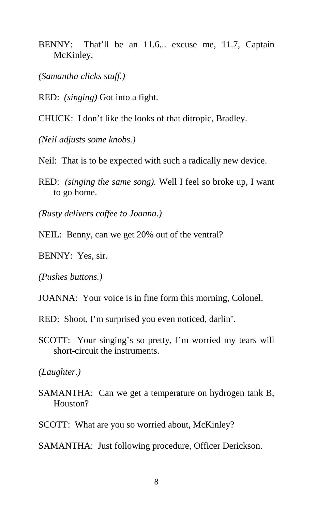- BENNY: That'll be an 11.6... excuse me, 11.7, Captain McKinley.
- *(Samantha clicks stuff.)*
- RED: *(singing)* Got into a fight.
- CHUCK: I don't like the looks of that ditropic, Bradley.

*(Neil adjusts some knobs.)* 

- Neil: That is to be expected with such a radically new device.
- RED: *(singing the same song).* Well I feel so broke up, I want to go home.

*(Rusty delivers coffee to Joanna.)* 

- NEIL: Benny, can we get 20% out of the ventral?
- BENNY: Yes, sir.

*(Pushes buttons.)* 

- JOANNA: Your voice is in fine form this morning, Colonel.
- RED: Shoot, I'm surprised you even noticed, darlin'.
- SCOTT: Your singing's so pretty, I'm worried my tears will short-circuit the instruments.

*(Laughter.)* 

- SAMANTHA: Can we get a temperature on hydrogen tank B, Houston?
- SCOTT: What are you so worried about, McKinley?
- SAMANTHA: Just following procedure, Officer Derickson.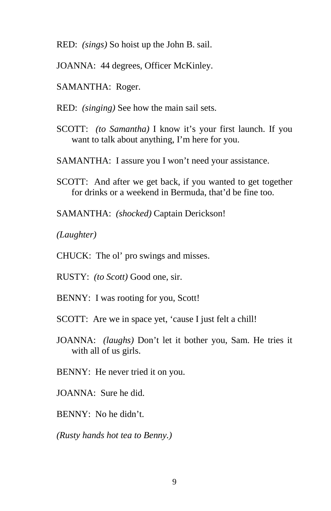- RED: *(sings)* So hoist up the John B. sail.
- JOANNA: 44 degrees, Officer McKinley.
- SAMANTHA: Roger.
- RED: *(singing)* See how the main sail sets.
- SCOTT: *(to Samantha)* I know it's your first launch. If you want to talk about anything, I'm here for you.
- SAMANTHA: I assure you I won't need your assistance.
- SCOTT: And after we get back, if you wanted to get together for drinks or a weekend in Bermuda, that'd be fine too.
- SAMANTHA: *(shocked)* Captain Derickson!

*(Laughter)* 

- CHUCK: The ol' pro swings and misses.
- RUSTY: *(to Scott)* Good one, sir.
- BENNY: I was rooting for you, Scott!
- SCOTT: Are we in space yet, 'cause I just felt a chill!
- JOANNA: *(laughs)* Don't let it bother you, Sam. He tries it with all of us girls.
- BENNY: He never tried it on you.
- JOANNA: Sure he did.
- BENNY: No he didn't.

*(Rusty hands hot tea to Benny.)*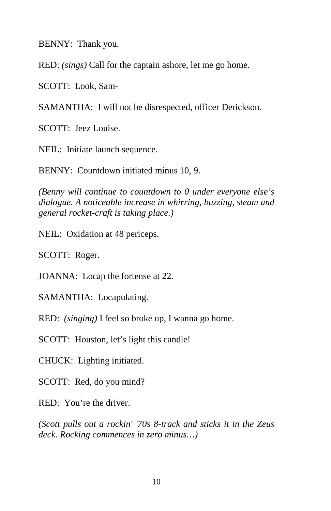BENNY: Thank you.

RED: *(sings)* Call for the captain ashore, let me go home.

SCOTT: Look, Sam-

SAMANTHA: I will not be disrespected, officer Derickson.

SCOTT: Jeez Louise.

NEIL: Initiate launch sequence.

BENNY: Countdown initiated minus 10, 9.

*(Benny will continue to countdown to 0 under everyone else's dialogue. A noticeable increase in whirring, buzzing, steam and general rocket-craft is taking place.)* 

NEIL: Oxidation at 48 periceps.

SCOTT: Roger.

JOANNA: Locap the fortense at 22.

SAMANTHA: Locapulating.

RED: *(singing)* I feel so broke up, I wanna go home.

SCOTT: Houston, let's light this candle!

CHUCK: Lighting initiated.

SCOTT: Red, do you mind?

RED: You're the driver.

*(Scott pulls out a rockin' '70s 8-track and sticks it in the Zeus deck. Rocking commences in zero minus…)*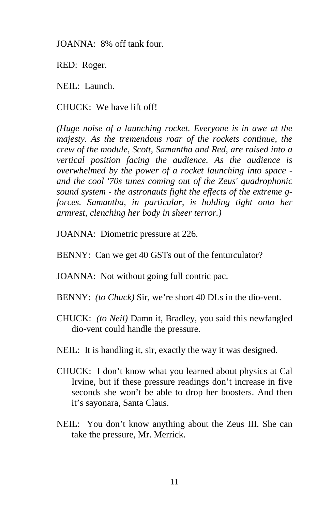JOANNA: 8% off tank four.

RED: Roger.

NEIL: Launch.

CHUCK: We have lift off!

*(Huge noise of a launching rocket. Everyone is in awe at the majesty. As the tremendous roar of the rockets continue, the crew of the module, Scott, Samantha and Red, are raised into a vertical position facing the audience. As the audience is overwhelmed by the power of a rocket launching into space and the cool '70s tunes coming out of the Zeus' quadrophonic sound system - the astronauts fight the effects of the extreme gforces. Samantha, in particular, is holding tight onto her armrest, clenching her body in sheer terror.)* 

JOANNA: Diometric pressure at 226.

BENNY: Can we get 40 GSTs out of the fenturculator?

JOANNA: Not without going full contric pac.

- BENNY: *(to Chuck)* Sir, we're short 40 DLs in the dio-vent.
- CHUCK: *(to Neil)* Damn it, Bradley, you said this newfangled dio-vent could handle the pressure.
- NEIL: It is handling it, sir, exactly the way it was designed.
- CHUCK: I don't know what you learned about physics at Cal Irvine, but if these pressure readings don't increase in five seconds she won't be able to drop her boosters. And then it's sayonara, Santa Claus.
- NEIL: You don't know anything about the Zeus III. She can take the pressure, Mr. Merrick.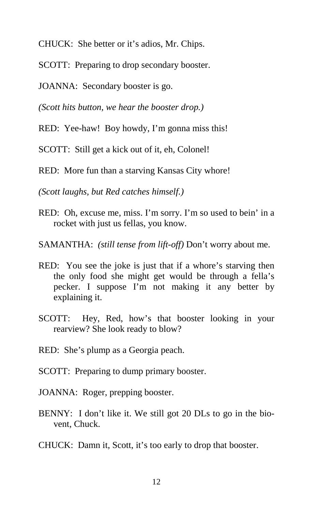CHUCK: She better or it's adios, Mr. Chips.

SCOTT: Preparing to drop secondary booster.

JOANNA: Secondary booster is go.

*(Scott hits button, we hear the booster drop.)* 

RED: Yee-haw! Boy howdy, I'm gonna miss this!

SCOTT: Still get a kick out of it, eh, Colonel!

RED: More fun than a starving Kansas City whore!

*(Scott laughs, but Red catches himself.)* 

RED: Oh, excuse me, miss. I'm sorry. I'm so used to bein' in a rocket with just us fellas, you know.

SAMANTHA: *(still tense from lift-off)* Don't worry about me.

- RED: You see the joke is just that if a whore's starving then the only food she might get would be through a fella's pecker. I suppose I'm not making it any better by explaining it.
- SCOTT: Hey, Red, how's that booster looking in your rearview? She look ready to blow?
- RED: She's plump as a Georgia peach.
- SCOTT: Preparing to dump primary booster.
- JOANNA: Roger, prepping booster.
- BENNY: I don't like it. We still got 20 DLs to go in the biovent, Chuck.
- CHUCK: Damn it, Scott, it's too early to drop that booster.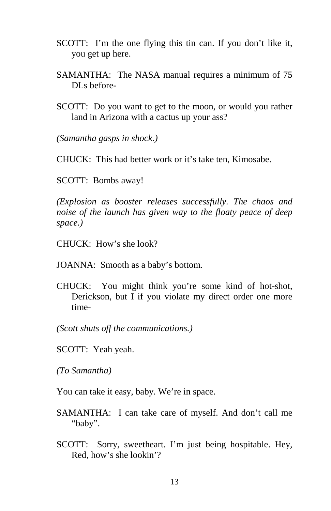- SCOTT: I'm the one flying this tin can. If you don't like it, you get up here.
- SAMANTHA: The NASA manual requires a minimum of 75 DL<sub>s</sub> before-
- SCOTT: Do you want to get to the moon, or would you rather land in Arizona with a cactus up your ass?

*(Samantha gasps in shock.)* 

CHUCK: This had better work or it's take ten, Kimosabe.

SCOTT: Bombs away!

*(Explosion as booster releases successfully. The chaos and noise of the launch has given way to the floaty peace of deep space.)* 

CHUCK: How's she look?

JOANNA: Smooth as a baby's bottom.

CHUCK: You might think you're some kind of hot-shot, Derickson, but I if you violate my direct order one more time-

*(Scott shuts off the communications.)* 

SCOTT: Yeah yeah.

*(To Samantha)* 

You can take it easy, baby. We're in space.

- SAMANTHA: I can take care of myself. And don't call me "baby".
- SCOTT: Sorry, sweetheart. I'm just being hospitable. Hey, Red, how's she lookin'?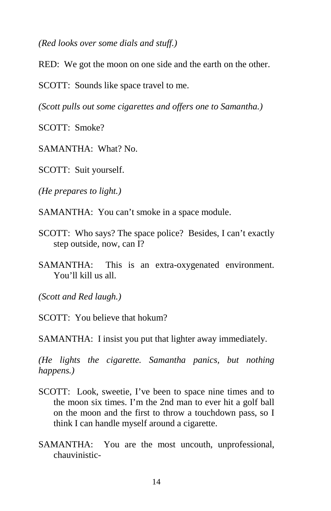*(Red looks over some dials and stuff.)* 

RED: We got the moon on one side and the earth on the other.

SCOTT: Sounds like space travel to me.

*(Scott pulls out some cigarettes and offers one to Samantha.)* 

SCOTT: Smoke?

SAMANTHA: What? No.

SCOTT: Suit yourself.

*(He prepares to light.)* 

SAMANTHA: You can't smoke in a space module.

- SCOTT: Who says? The space police? Besides, I can't exactly step outside, now, can I?
- SAMANTHA: This is an extra-oxygenated environment. You'll kill us all.

*(Scott and Red laugh.)* 

SCOTT: You believe that hokum?

SAMANTHA: I insist you put that lighter away immediately.

*(He lights the cigarette. Samantha panics, but nothing happens.)* 

- SCOTT: Look, sweetie, I've been to space nine times and to the moon six times. I'm the 2nd man to ever hit a golf ball on the moon and the first to throw a touchdown pass, so I think I can handle myself around a cigarette.
- SAMANTHA: You are the most uncouth, unprofessional, chauvinistic-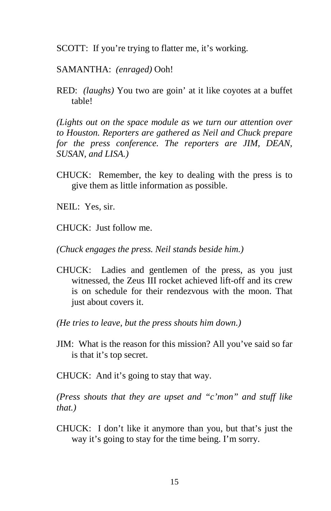SCOTT: If you're trying to flatter me, it's working.

SAMANTHA: *(enraged)* Ooh!

RED: *(laughs)* You two are goin' at it like coyotes at a buffet table!

*(Lights out on the space module as we turn our attention over to Houston. Reporters are gathered as Neil and Chuck prepare for the press conference. The reporters are JIM, DEAN, SUSAN, and LISA.)* 

- CHUCK: Remember, the key to dealing with the press is to give them as little information as possible.
- NEIL: Yes, sir.
- CHUCK: Just follow me.

*(Chuck engages the press. Neil stands beside him.)* 

- CHUCK: Ladies and gentlemen of the press, as you just witnessed, the Zeus III rocket achieved lift-off and its crew is on schedule for their rendezvous with the moon. That just about covers it.
- *(He tries to leave, but the press shouts him down.)*
- JIM: What is the reason for this mission? All you've said so far is that it's top secret.
- CHUCK: And it's going to stay that way.

*(Press shouts that they are upset and "c'mon" and stuff like that.)* 

CHUCK: I don't like it anymore than you, but that's just the way it's going to stay for the time being. I'm sorry.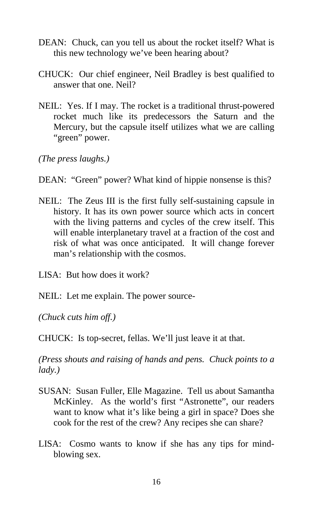- DEAN: Chuck, can you tell us about the rocket itself? What is this new technology we've been hearing about?
- CHUCK: Our chief engineer, Neil Bradley is best qualified to answer that one. Neil?
- NEIL: Yes. If I may. The rocket is a traditional thrust-powered rocket much like its predecessors the Saturn and the Mercury, but the capsule itself utilizes what we are calling "green" power.

*(The press laughs.)* 

DEAN: "Green" power? What kind of hippie nonsense is this?

NEIL: The Zeus III is the first fully self-sustaining capsule in history. It has its own power source which acts in concert with the living patterns and cycles of the crew itself. This will enable interplanetary travel at a fraction of the cost and risk of what was once anticipated. It will change forever man's relationship with the cosmos.

LISA: But how does it work?

NEIL: Let me explain. The power source-

*(Chuck cuts him off.)* 

CHUCK: Is top-secret, fellas. We'll just leave it at that.

*(Press shouts and raising of hands and pens. Chuck points to a lady.)* 

- SUSAN: Susan Fuller, Elle Magazine. Tell us about Samantha McKinley. As the world's first "Astronette", our readers want to know what it's like being a girl in space? Does she cook for the rest of the crew? Any recipes she can share?
- LISA: Cosmo wants to know if she has any tips for mindblowing sex.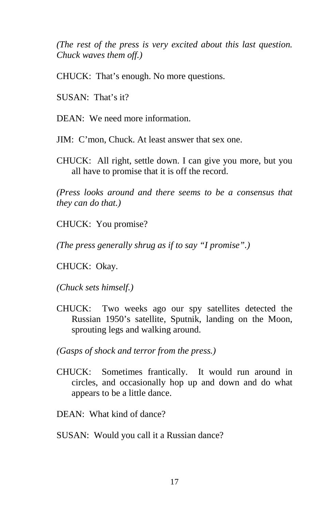*(The rest of the press is very excited about this last question. Chuck waves them off.)* 

CHUCK: That's enough. No more questions.

SUSAN: That's it?

DEAN: We need more information.

JIM: C'mon, Chuck. At least answer that sex one.

CHUCK: All right, settle down. I can give you more, but you all have to promise that it is off the record.

*(Press looks around and there seems to be a consensus that they can do that.)* 

CHUCK: You promise?

*(The press generally shrug as if to say "I promise".)* 

CHUCK: Okay.

*(Chuck sets himself.)* 

CHUCK: Two weeks ago our spy satellites detected the Russian 1950's satellite, Sputnik, landing on the Moon, sprouting legs and walking around.

*(Gasps of shock and terror from the press.)* 

CHUCK: Sometimes frantically. It would run around in circles, and occasionally hop up and down and do what appears to be a little dance.

DEAN: What kind of dance?

SUSAN: Would you call it a Russian dance?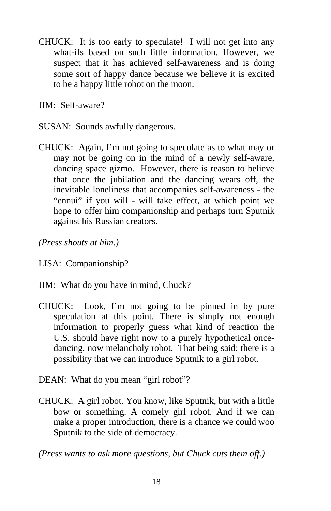CHUCK: It is too early to speculate! I will not get into any what-ifs based on such little information. However, we suspect that it has achieved self-awareness and is doing some sort of happy dance because we believe it is excited to be a happy little robot on the moon.

JIM: Self-aware?

- SUSAN: Sounds awfully dangerous.
- CHUCK: Again, I'm not going to speculate as to what may or may not be going on in the mind of a newly self-aware, dancing space gizmo. However, there is reason to believe that once the jubilation and the dancing wears off, the inevitable loneliness that accompanies self-awareness - the "ennui" if you will - will take effect, at which point we hope to offer him companionship and perhaps turn Sputnik against his Russian creators.

*(Press shouts at him.)* 

LISA: Companionship?

- JIM: What do you have in mind, Chuck?
- CHUCK: Look, I'm not going to be pinned in by pure speculation at this point. There is simply not enough information to properly guess what kind of reaction the U.S. should have right now to a purely hypothetical oncedancing, now melancholy robot. That being said: there is a possibility that we can introduce Sputnik to a girl robot.
- DEAN: What do you mean "girl robot"?
- CHUCK: A girl robot. You know, like Sputnik, but with a little bow or something. A comely girl robot. And if we can make a proper introduction, there is a chance we could woo Sputnik to the side of democracy.

*(Press wants to ask more questions, but Chuck cuts them off.)*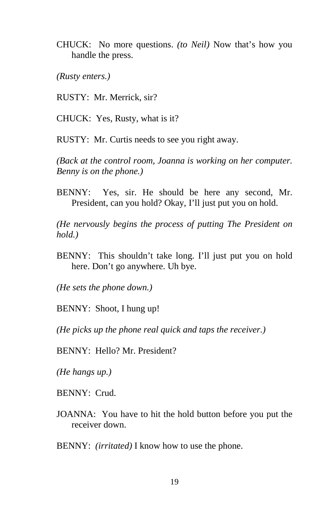CHUCK: No more questions. *(to Neil)* Now that's how you handle the press.

*(Rusty enters.)* 

RUSTY: Mr. Merrick, sir?

CHUCK: Yes, Rusty, what is it?

RUSTY: Mr. Curtis needs to see you right away.

*(Back at the control room, Joanna is working on her computer. Benny is on the phone.)* 

BENNY: Yes, sir. He should be here any second, Mr. President, can you hold? Okay, I'll just put you on hold.

*(He nervously begins the process of putting The President on hold.)* 

BENNY: This shouldn't take long. I'll just put you on hold here. Don't go anywhere. Uh bye.

*(He sets the phone down.)* 

BENNY: Shoot, I hung up!

*(He picks up the phone real quick and taps the receiver.)* 

BENNY: Hello? Mr. President?

*(He hangs up.)* 

BENNY: Crud.

JOANNA: You have to hit the hold button before you put the receiver down.

BENNY: *(irritated)* I know how to use the phone.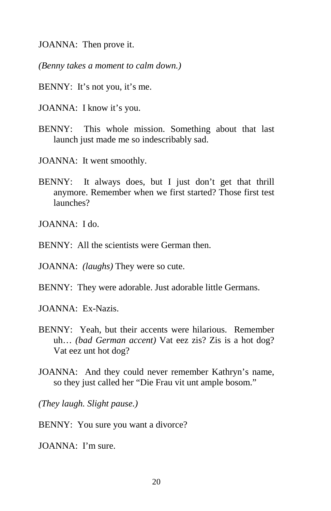JOANNA: Then prove it.

*(Benny takes a moment to calm down.)* 

- BENNY: It's not you, it's me.
- JOANNA: I know it's you.
- BENNY: This whole mission. Something about that last launch just made me so indescribably sad.
- JOANNA: It went smoothly.
- BENNY: It always does, but I just don't get that thrill anymore. Remember when we first started? Those first test launches?

JOANNA: I do.

 $BENNY:$  All the scientists were German then.

JOANNA: *(laughs)* They were so cute.

BENNY: They were adorable. Just adorable little Germans.

JOANNA: Ex-Nazis.

- BENNY: Yeah, but their accents were hilarious. Remember uh… *(bad German accent)* Vat eez zis? Zis is a hot dog? Vat eez unt hot dog?
- JOANNA: And they could never remember Kathryn's name, so they just called her "Die Frau vit unt ample bosom."

*(They laugh. Slight pause.)* 

BENNY: You sure you want a divorce?

JOANNA: I'm sure.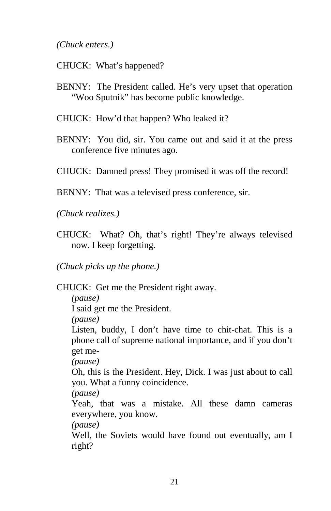*(Chuck enters.)* 

- CHUCK: What's happened?
- BENNY: The President called. He's very upset that operation "Woo Sputnik" has become public knowledge.
- CHUCK: How'd that happen? Who leaked it?
- BENNY: You did, sir. You came out and said it at the press conference five minutes ago.
- CHUCK: Damned press! They promised it was off the record!
- BENNY: That was a televised press conference, sir.

*(Chuck realizes.)* 

CHUCK: What? Oh, that's right! They're always televised now. I keep forgetting.

*(Chuck picks up the phone.)* 

CHUCK: Get me the President right away.

*(pause)*

I said get me the President.

*(pause)*

Listen, buddy, I don't have time to chit-chat. This is a phone call of supreme national importance, and if you don't get me-

*(pause)*

Oh, this is the President. Hey, Dick. I was just about to call you. What a funny coincidence.

*(pause)*

Yeah, that was a mistake. All these damn cameras everywhere, you know.

*(pause)* 

Well, the Soviets would have found out eventually, am I right?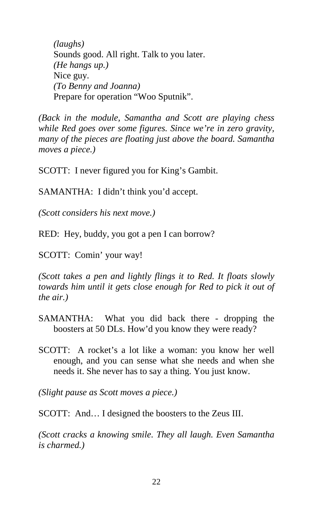*(laughs)*  Sounds good. All right. Talk to you later. *(He hangs up.)*  Nice guy. *(To Benny and Joanna)*  Prepare for operation "Woo Sputnik".

*(Back in the module, Samantha and Scott are playing chess while Red goes over some figures. Since we're in zero gravity, many of the pieces are floating just above the board. Samantha moves a piece.)* 

SCOTT: I never figured you for King's Gambit.

SAMANTHA: I didn't think you'd accept.

*(Scott considers his next move.)* 

RED: Hey, buddy, you got a pen I can borrow?

SCOTT: Comin' your way!

*(Scott takes a pen and lightly flings it to Red. It floats slowly towards him until it gets close enough for Red to pick it out of the air.)* 

- SAMANTHA: What you did back there dropping the boosters at 50 DLs. How'd you know they were ready?
- SCOTT: A rocket's a lot like a woman: you know her well enough, and you can sense what she needs and when she needs it. She never has to say a thing. You just know.

*(Slight pause as Scott moves a piece.)* 

SCOTT: And… I designed the boosters to the Zeus III.

*(Scott cracks a knowing smile. They all laugh. Even Samantha is charmed.)*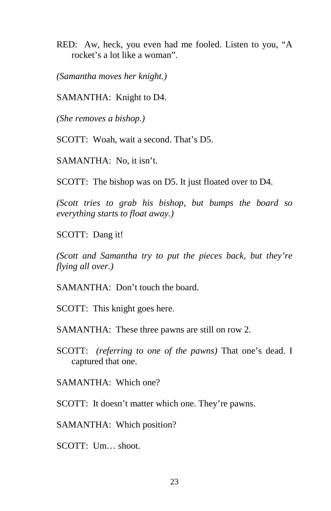RED: Aw, heck, you even had me fooled. Listen to you, "A rocket's a lot like a woman".

*(Samantha moves her knight.)* 

SAMANTHA: Knight to D4.

*(She removes a bishop.)* 

SCOTT: Woah, wait a second. That's D5.

SAMANTHA: No, it isn't.

SCOTT: The bishop was on D5. It just floated over to D4.

*(Scott tries to grab his bishop, but bumps the board so everything starts to float away.)* 

SCOTT: Dang it!

*(Scott and Samantha try to put the pieces back, but they're flying all over.)* 

SAMANTHA: Don't touch the board.

SCOTT: This knight goes here.

SAMANTHA: These three pawns are still on row 2.

SCOTT: *(referring to one of the pawns)* That one's dead. I captured that one.

SAMANTHA: Which one?

SCOTT: It doesn't matter which one. They're pawns.

SAMANTHA: Which position?

SCOTT: Um… shoot.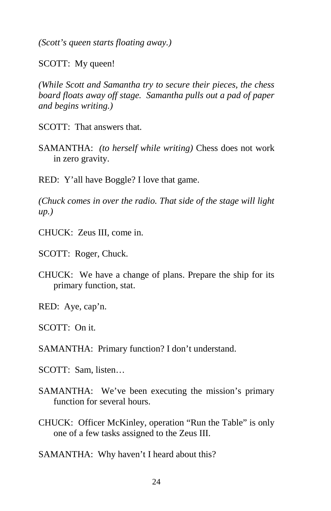*(Scott's queen starts floating away.)* 

SCOTT: My queen!

*(While Scott and Samantha try to secure their pieces, the chess board floats away off stage. Samantha pulls out a pad of paper and begins writing.)* 

SCOTT: That answers that.

SAMANTHA: *(to herself while writing)* Chess does not work in zero gravity.

RED: Y'all have Boggle? I love that game.

*(Chuck comes in over the radio. That side of the stage will light up.)* 

CHUCK: Zeus III, come in.

SCOTT: Roger, Chuck.

CHUCK: We have a change of plans. Prepare the ship for its primary function, stat.

RED: Aye, cap'n.

SCOTT: On it.

SAMANTHA: Primary function? I don't understand.

SCOTT: Sam, listen…

- SAMANTHA: We've been executing the mission's primary function for several hours.
- CHUCK: Officer McKinley, operation "Run the Table" is only one of a few tasks assigned to the Zeus III.

SAMANTHA: Why haven't I heard about this?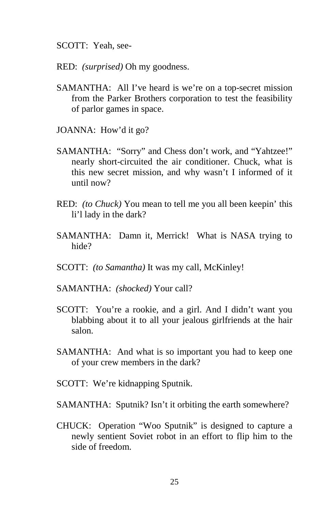SCOTT: Yeah, see-

RED: *(surprised)* Oh my goodness.

- SAMANTHA: All I've heard is we're on a top-secret mission from the Parker Brothers corporation to test the feasibility of parlor games in space.
- JOANNA: How'd it go?
- SAMANTHA: "Sorry" and Chess don't work, and "Yahtzee!" nearly short-circuited the air conditioner. Chuck, what is this new secret mission, and why wasn't I informed of it until now?
- RED: *(to Chuck)* You mean to tell me you all been keepin' this li'l lady in the dark?
- SAMANTHA: Damn it, Merrick! What is NASA trying to hide?
- SCOTT: *(to Samantha)* It was my call, McKinley!
- SAMANTHA: *(shocked)* Your call?
- SCOTT: You're a rookie, and a girl. And I didn't want you blabbing about it to all your jealous girlfriends at the hair salon.
- SAMANTHA: And what is so important you had to keep one of your crew members in the dark?
- SCOTT: We're kidnapping Sputnik.
- SAMANTHA: Sputnik? Isn't it orbiting the earth somewhere?
- CHUCK: Operation "Woo Sputnik" is designed to capture a newly sentient Soviet robot in an effort to flip him to the side of freedom.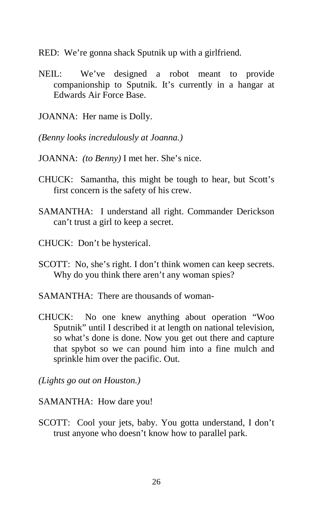RED: We're gonna shack Sputnik up with a girlfriend.

- NEIL: We've designed a robot meant to provide companionship to Sputnik. It's currently in a hangar at Edwards Air Force Base.
- JOANNA: Her name is Dolly.
- *(Benny looks incredulously at Joanna.)*
- JOANNA: *(to Benny)* I met her. She's nice.
- CHUCK: Samantha, this might be tough to hear, but Scott's first concern is the safety of his crew.
- SAMANTHA: I understand all right. Commander Derickson can't trust a girl to keep a secret.
- CHUCK: Don't be hysterical.
- SCOTT: No, she's right. I don't think women can keep secrets. Why do you think there aren't any woman spies?
- SAMANTHA: There are thousands of woman-
- CHUCK: No one knew anything about operation "Woo Sputnik" until I described it at length on national television, so what's done is done. Now you get out there and capture that spybot so we can pound him into a fine mulch and sprinkle him over the pacific. Out.

*(Lights go out on Houston.)* 

SAMANTHA: How dare you!

SCOTT: Cool your jets, baby. You gotta understand, I don't trust anyone who doesn't know how to parallel park.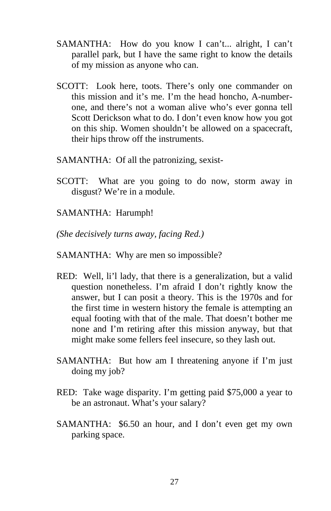- SAMANTHA: How do you know I can't... alright, I can't parallel park, but I have the same right to know the details of my mission as anyone who can.
- SCOTT: Look here, toots. There's only one commander on this mission and it's me. I'm the head honcho, A-numberone, and there's not a woman alive who's ever gonna tell Scott Derickson what to do. I don't even know how you got on this ship. Women shouldn't be allowed on a spacecraft, their hips throw off the instruments.
- SAMANTHA: Of all the patronizing, sexist-
- SCOTT: What are you going to do now, storm away in disgust? We're in a module.
- SAMANTHA: Harumph!
- *(She decisively turns away, facing Red.)*
- SAMANTHA: Why are men so impossible?
- RED: Well, li'l lady, that there is a generalization, but a valid question nonetheless. I'm afraid I don't rightly know the answer, but I can posit a theory. This is the 1970s and for the first time in western history the female is attempting an equal footing with that of the male. That doesn't bother me none and I'm retiring after this mission anyway, but that might make some fellers feel insecure, so they lash out.
- SAMANTHA: But how am I threatening anyone if I'm just doing my job?
- RED: Take wage disparity. I'm getting paid \$75,000 a year to be an astronaut. What's your salary?
- SAMANTHA: \$6.50 an hour, and I don't even get my own parking space.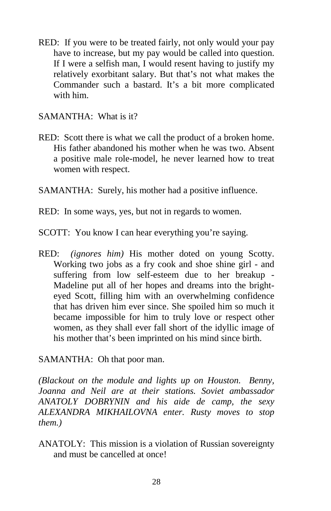RED: If you were to be treated fairly, not only would your pay have to increase, but my pay would be called into question. If I were a selfish man, I would resent having to justify my relatively exorbitant salary. But that's not what makes the Commander such a bastard. It's a bit more complicated with him.

SAMANTHA: What is it?

- RED: Scott there is what we call the product of a broken home. His father abandoned his mother when he was two. Absent a positive male role-model, he never learned how to treat women with respect.
- SAMANTHA: Surely, his mother had a positive influence.
- RED: In some ways, yes, but not in regards to women.
- SCOTT: You know I can hear everything you're saying.
- RED: *(ignores him)* His mother doted on young Scotty. Working two jobs as a fry cook and shoe shine girl - and suffering from low self-esteem due to her breakup - Madeline put all of her hopes and dreams into the brighteyed Scott, filling him with an overwhelming confidence that has driven him ever since. She spoiled him so much it became impossible for him to truly love or respect other women, as they shall ever fall short of the idyllic image of his mother that's been imprinted on his mind since birth.

SAMANTHA: Oh that poor man.

*(Blackout on the module and lights up on Houston. Benny, Joanna and Neil are at their stations. Soviet ambassador ANATOLY DOBRYNIN and his aide de camp, the sexy ALEXANDRA MIKHAILOVNA enter. Rusty moves to stop them.)* 

ANATOLY: This mission is a violation of Russian sovereignty and must be cancelled at once!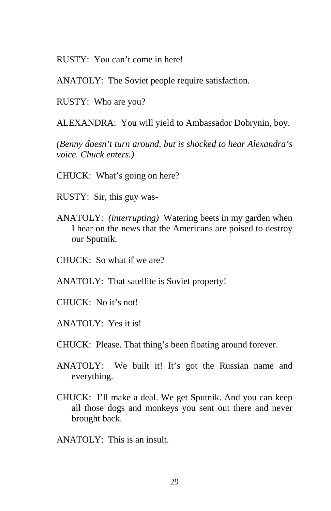RUSTY: You can't come in here!

ANATOLY: The Soviet people require satisfaction.

RUSTY: Who are you?

ALEXANDRA: You will yield to Ambassador Dobrynin, boy.

*(Benny doesn't turn around, but is shocked to hear Alexandra's voice. Chuck enters.)* 

- CHUCK: What's going on here?
- RUSTY: Sir, this guy was-
- ANATOLY: *(interrupting)* Watering beets in my garden when I hear on the news that the Americans are poised to destroy our Sputnik.
- CHUCK: So what if we are?
- ANATOLY: That satellite is Soviet property!
- CHUCK: No it's not!
- ANATOLY: Yes it is!
- CHUCK: Please. That thing's been floating around forever.
- ANATOLY: We built it! It's got the Russian name and everything.
- CHUCK: I'll make a deal. We get Sputnik. And you can keep all those dogs and monkeys you sent out there and never brought back.
- ANATOLY: This is an insult.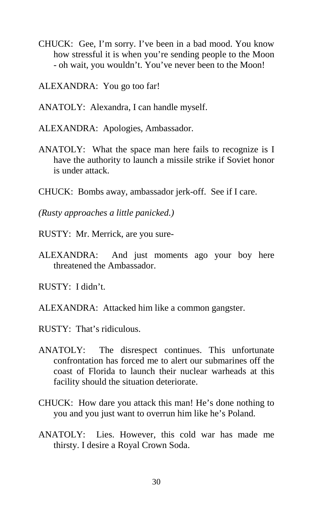- CHUCK: Gee, I'm sorry. I've been in a bad mood. You know how stressful it is when you're sending people to the Moon - oh wait, you wouldn't. You've never been to the Moon!
- ALEXANDRA: You go too far!
- ANATOLY: Alexandra, I can handle myself.
- ALEXANDRA: Apologies, Ambassador.
- ANATOLY: What the space man here fails to recognize is I have the authority to launch a missile strike if Soviet honor is under attack.
- CHUCK: Bombs away, ambassador jerk-off. See if I care.
- *(Rusty approaches a little panicked.)*
- RUSTY: Mr. Merrick, are you sure-
- ALEXANDRA: And just moments ago your boy here threatened the Ambassador.
- RUSTY: I didn't.
- ALEXANDRA: Attacked him like a common gangster.
- RUSTY: That's ridiculous.
- ANATOLY: The disrespect continues. This unfortunate confrontation has forced me to alert our submarines off the coast of Florida to launch their nuclear warheads at this facility should the situation deteriorate.
- CHUCK: How dare you attack this man! He's done nothing to you and you just want to overrun him like he's Poland.
- ANATOLY: Lies. However, this cold war has made me thirsty. I desire a Royal Crown Soda.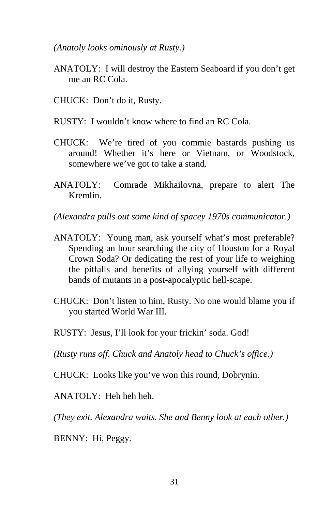*(Anatoly looks ominously at Rusty.)* 

- ANATOLY: I will destroy the Eastern Seaboard if you don't get me an RC Cola.
- CHUCK: Don't do it, Rusty.
- RUSTY: I wouldn't know where to find an RC Cola.
- CHUCK: We're tired of you commie bastards pushing us around! Whether it's here or Vietnam, or Woodstock, somewhere we've got to take a stand.
- ANATOLY: Comrade Mikhailovna, prepare to alert The Kremlin.

*(Alexandra pulls out some kind of spacey 1970s communicator.)* 

- ANATOLY: Young man, ask yourself what's most preferable? Spending an hour searching the city of Houston for a Royal Crown Soda? Or dedicating the rest of your life to weighing the pitfalls and benefits of allying yourself with different bands of mutants in a post-apocalyptic hell-scape.
- CHUCK: Don't listen to him, Rusty. No one would blame you if you started World War III.
- RUSTY: Jesus, I'll look for your frickin' soda. God!

*(Rusty runs off. Chuck and Anatoly head to Chuck's office.)* 

CHUCK: Looks like you've won this round, Dobrynin.

ANATOLY: Heh heh heh.

*(They exit. Alexandra waits. She and Benny look at each other.)* 

BENNY: Hi, Peggy.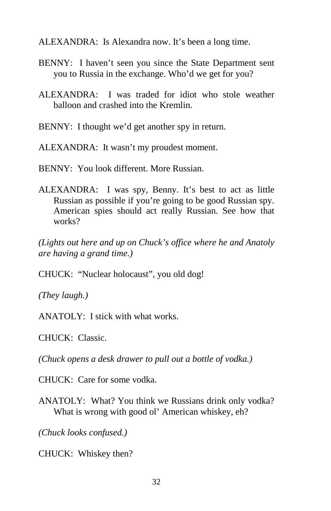ALEXANDRA: Is Alexandra now. It's been a long time.

- BENNY: I haven't seen you since the State Department sent you to Russia in the exchange. Who'd we get for you?
- ALEXANDRA: I was traded for idiot who stole weather balloon and crashed into the Kremlin.
- BENNY: I thought we'd get another spy in return.
- ALEXANDRA: It wasn't my proudest moment.
- BENNY: You look different. More Russian.
- ALEXANDRA: I was spy, Benny. It's best to act as little Russian as possible if you're going to be good Russian spy. American spies should act really Russian. See how that works?

*(Lights out here and up on Chuck's office where he and Anatoly are having a grand time.)* 

CHUCK: "Nuclear holocaust", you old dog!

*(They laugh.)* 

ANATOLY: I stick with what works.

CHUCK: Classic.

*(Chuck opens a desk drawer to pull out a bottle of vodka.)* 

CHUCK: Care for some vodka.

ANATOLY: What? You think we Russians drink only vodka? What is wrong with good ol' American whiskey, eh?

*(Chuck looks confused.)* 

CHUCK: Whiskey then?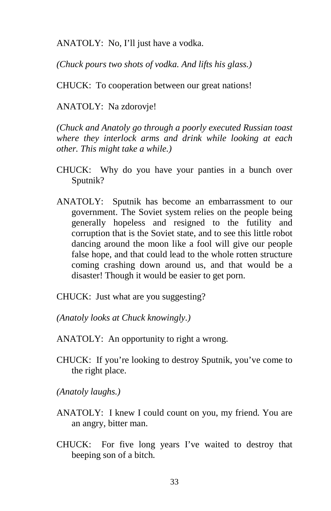ANATOLY: No, I'll just have a vodka.

*(Chuck pours two shots of vodka. And lifts his glass.)* 

CHUCK: To cooperation between our great nations!

ANATOLY: Na zdorovje!

*(Chuck and Anatoly go through a poorly executed Russian toast where they interlock arms and drink while looking at each other. This might take a while.)* 

- CHUCK: Why do you have your panties in a bunch over Sputnik?
- ANATOLY: Sputnik has become an embarrassment to our government. The Soviet system relies on the people being generally hopeless and resigned to the futility and corruption that is the Soviet state, and to see this little robot dancing around the moon like a fool will give our people false hope, and that could lead to the whole rotten structure coming crashing down around us, and that would be a disaster! Though it would be easier to get porn.

CHUCK: Just what are you suggesting?

*(Anatoly looks at Chuck knowingly.)* 

ANATOLY: An opportunity to right a wrong.

CHUCK: If you're looking to destroy Sputnik, you've come to the right place.

*(Anatoly laughs.)* 

- ANATOLY: I knew I could count on you, my friend. You are an angry, bitter man.
- CHUCK: For five long years I've waited to destroy that beeping son of a bitch.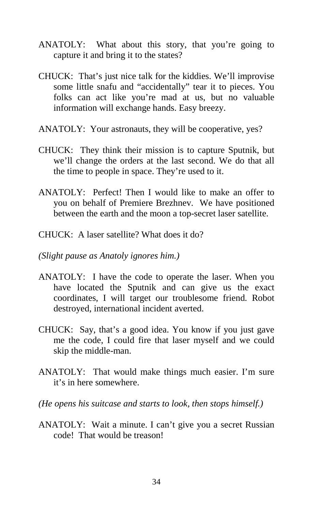- ANATOLY: What about this story, that you're going to capture it and bring it to the states?
- CHUCK: That's just nice talk for the kiddies. We'll improvise some little snafu and "accidentally" tear it to pieces. You folks can act like you're mad at us, but no valuable information will exchange hands. Easy breezy.
- ANATOLY: Your astronauts, they will be cooperative, yes?
- CHUCK: They think their mission is to capture Sputnik, but we'll change the orders at the last second. We do that all the time to people in space. They're used to it.
- ANATOLY: Perfect! Then I would like to make an offer to you on behalf of Premiere Brezhnev. We have positioned between the earth and the moon a top-secret laser satellite.
- CHUCK: A laser satellite? What does it do?
- *(Slight pause as Anatoly ignores him.)*
- ANATOLY: I have the code to operate the laser. When you have located the Sputnik and can give us the exact coordinates, I will target our troublesome friend. Robot destroyed, international incident averted.
- CHUCK: Say, that's a good idea. You know if you just gave me the code, I could fire that laser myself and we could skip the middle-man.
- ANATOLY: That would make things much easier. I'm sure it's in here somewhere.
- *(He opens his suitcase and starts to look, then stops himself.)*
- ANATOLY: Wait a minute. I can't give you a secret Russian code! That would be treason!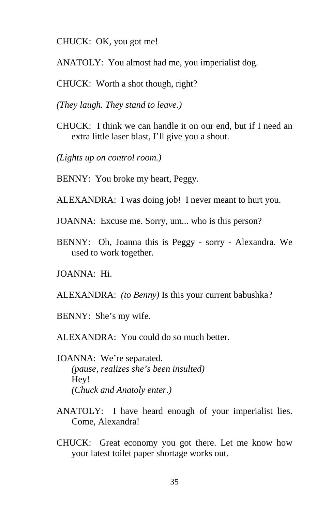CHUCK: OK, you got me!

- ANATOLY: You almost had me, you imperialist dog.
- CHUCK: Worth a shot though, right?
- *(They laugh. They stand to leave.)*
- CHUCK: I think we can handle it on our end, but if I need an extra little laser blast, I'll give you a shout.
- *(Lights up on control room.)*
- BENNY: You broke my heart, Peggy.
- ALEXANDRA: I was doing job! I never meant to hurt you.
- JOANNA: Excuse me. Sorry, um... who is this person?
- BENNY: Oh, Joanna this is Peggy sorry Alexandra. We used to work together.
- JOANNA: Hi.
- ALEXANDRA: *(to Benny)* Is this your current babushka?
- BENNY: She's my wife.
- ALEXANDRA: You could do so much better.
- JOANNA: We're separated. *(pause, realizes she's been insulted)* Hey! *(Chuck and Anatoly enter.)*
- ANATOLY: I have heard enough of your imperialist lies. Come, Alexandra!
- CHUCK: Great economy you got there. Let me know how your latest toilet paper shortage works out.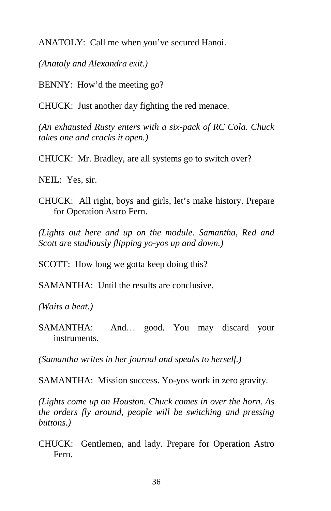ANATOLY: Call me when you've secured Hanoi.

*(Anatoly and Alexandra exit.)* 

BENNY: How'd the meeting go?

CHUCK: Just another day fighting the red menace.

*(An exhausted Rusty enters with a six-pack of RC Cola. Chuck takes one and cracks it open.)* 

CHUCK: Mr. Bradley, are all systems go to switch over?

NEIL: Yes, sir.

CHUCK: All right, boys and girls, let's make history. Prepare for Operation Astro Fern.

*(Lights out here and up on the module. Samantha, Red and Scott are studiously flipping yo-yos up and down.)* 

SCOTT: How long we gotta keep doing this?

SAMANTHA: Until the results are conclusive.

*(Waits a beat.)* 

SAMANTHA: And… good. You may discard your instruments.

*(Samantha writes in her journal and speaks to herself.)* 

SAMANTHA: Mission success. Yo-yos work in zero gravity.

*(Lights come up on Houston. Chuck comes in over the horn. As the orders fly around, people will be switching and pressing buttons.)* 

CHUCK: Gentlemen, and lady. Prepare for Operation Astro Fern.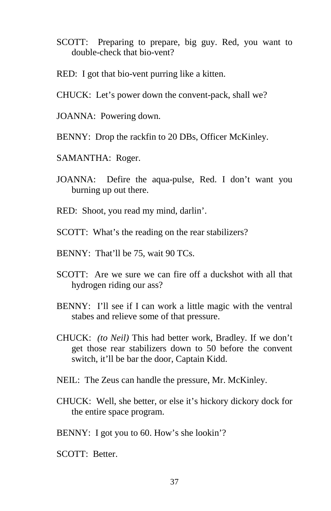- SCOTT: Preparing to prepare, big guy. Red, you want to double-check that bio-vent?
- RED: I got that bio-vent purring like a kitten.
- CHUCK: Let's power down the convent-pack, shall we?
- JOANNA: Powering down.
- BENNY: Drop the rackfin to 20 DBs, Officer McKinley.
- SAMANTHA: Roger.
- JOANNA: Defire the aqua-pulse, Red. I don't want you burning up out there.
- RED: Shoot, you read my mind, darlin'.
- SCOTT: What's the reading on the rear stabilizers?
- BENNY: That'll be 75, wait 90 TCs.
- SCOTT: Are we sure we can fire off a duckshot with all that hydrogen riding our ass?
- BENNY: I'll see if I can work a little magic with the ventral stabes and relieve some of that pressure.
- CHUCK: *(to Neil)* This had better work, Bradley. If we don't get those rear stabilizers down to 50 before the convent switch, it'll be bar the door, Captain Kidd.
- NEIL: The Zeus can handle the pressure, Mr. McKinley.
- CHUCK: Well, she better, or else it's hickory dickory dock for the entire space program.
- BENNY: I got you to 60. How's she lookin'?
- SCOTT: Better.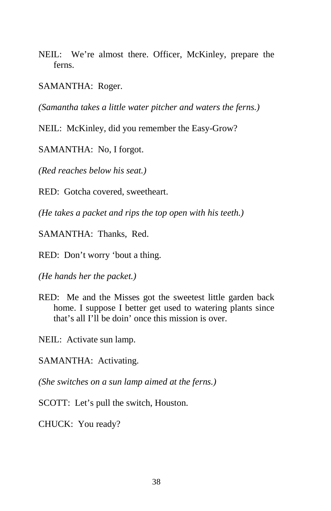NEIL: We're almost there. Officer, McKinley, prepare the ferns.

SAMANTHA: Roger.

*(Samantha takes a little water pitcher and waters the ferns.)* 

NEIL: McKinley, did you remember the Easy-Grow?

SAMANTHA: No, I forgot.

*(Red reaches below his seat.)* 

RED: Gotcha covered, sweetheart.

*(He takes a packet and rips the top open with his teeth.)* 

SAMANTHA: Thanks, Red.

RED: Don't worry 'bout a thing.

*(He hands her the packet.)* 

RED: Me and the Misses got the sweetest little garden back home. I suppose I better get used to watering plants since that's all I'll be doin' once this mission is over.

NEIL: Activate sun lamp.

SAMANTHA: Activating.

*(She switches on a sun lamp aimed at the ferns.)* 

SCOTT: Let's pull the switch, Houston.

CHUCK: You ready?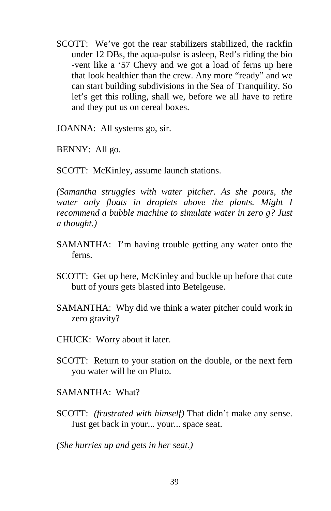SCOTT: We've got the rear stabilizers stabilized, the rackfin under 12 DBs, the aqua-pulse is asleep, Red's riding the bio -vent like a '57 Chevy and we got a load of ferns up here that look healthier than the crew. Any more "ready" and we can start building subdivisions in the Sea of Tranquility. So let's get this rolling, shall we, before we all have to retire and they put us on cereal boxes.

JOANNA: All systems go, sir.

BENNY: All go.

SCOTT: McKinley, assume launch stations.

*(Samantha struggles with water pitcher. As she pours, the water only floats in droplets above the plants. Might I recommend a bubble machine to simulate water in zero g? Just a thought.)* 

- SAMANTHA: I'm having trouble getting any water onto the ferns.
- SCOTT: Get up here, McKinley and buckle up before that cute butt of yours gets blasted into Betelgeuse.
- SAMANTHA: Why did we think a water pitcher could work in zero gravity?
- CHUCK: Worry about it later.
- SCOTT: Return to your station on the double, or the next fern you water will be on Pluto.
- SAMANTHA: What?
- SCOTT: *(frustrated with himself)* That didn't make any sense. Just get back in your... your... space seat.

*(She hurries up and gets in her seat.)*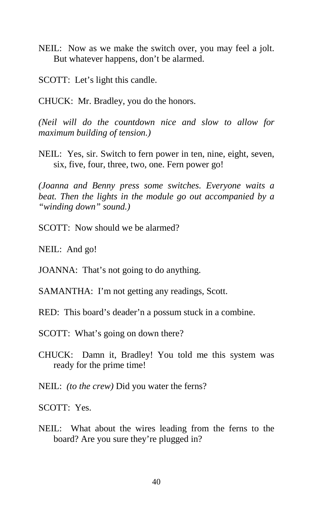- NEIL: Now as we make the switch over, you may feel a jolt. But whatever happens, don't be alarmed.
- SCOTT: Let's light this candle.
- CHUCK: Mr. Bradley, you do the honors.

*(Neil will do the countdown nice and slow to allow for maximum building of tension.)* 

NEIL: Yes, sir. Switch to fern power in ten, nine, eight, seven, six, five, four, three, two, one. Fern power go!

*(Joanna and Benny press some switches. Everyone waits a beat. Then the lights in the module go out accompanied by a "winding down" sound.)* 

SCOTT: Now should we be alarmed?

NEIL: And go!

- JOANNA: That's not going to do anything.
- SAMANTHA: I'm not getting any readings, Scott.
- RED: This board's deader'n a possum stuck in a combine.
- SCOTT: What's going on down there?
- CHUCK: Damn it, Bradley! You told me this system was ready for the prime time!
- NEIL: *(to the crew)* Did you water the ferns?

SCOTT: Yes.

NEIL: What about the wires leading from the ferns to the board? Are you sure they're plugged in?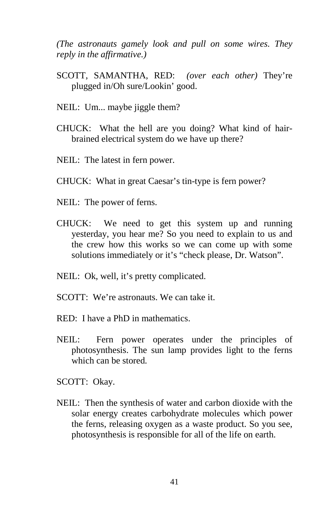*(The astronauts gamely look and pull on some wires. They reply in the affirmative.)* 

- SCOTT, SAMANTHA, RED: *(over each other)* They're plugged in/Oh sure/Lookin' good.
- NEIL: Um... maybe jiggle them?
- CHUCK: What the hell are you doing? What kind of hairbrained electrical system do we have up there?
- NEIL: The latest in fern power.
- CHUCK: What in great Caesar's tin-type is fern power?
- NEIL: The power of ferns.
- CHUCK: We need to get this system up and running yesterday, you hear me? So you need to explain to us and the crew how this works so we can come up with some solutions immediately or it's "check please, Dr. Watson".
- NEIL: Ok, well, it's pretty complicated.
- SCOTT: We're astronauts. We can take it.
- RED: I have a PhD in mathematics.
- NEIL: Fern power operates under the principles of photosynthesis. The sun lamp provides light to the ferns which can be stored.

SCOTT: Okay.

NEIL: Then the synthesis of water and carbon dioxide with the solar energy creates carbohydrate molecules which power the ferns, releasing oxygen as a waste product. So you see, photosynthesis is responsible for all of the life on earth.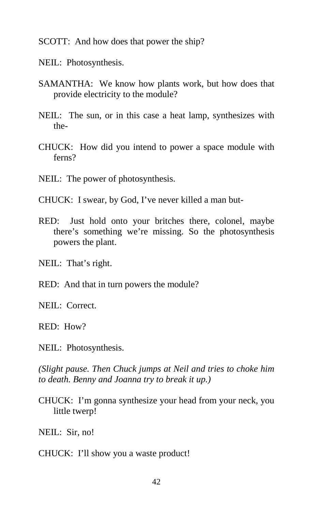SCOTT: And how does that power the ship?

- NEIL: Photosynthesis.
- SAMANTHA: We know how plants work, but how does that provide electricity to the module?
- NEIL: The sun, or in this case a heat lamp, synthesizes with the-
- CHUCK: How did you intend to power a space module with ferns?
- NEIL: The power of photosynthesis.
- CHUCK: I swear, by God, I've never killed a man but-
- RED: Just hold onto your britches there, colonel, maybe there's something we're missing. So the photosynthesis powers the plant.

NEIL: That's right.

RED: And that in turn powers the module?

NEIL: Correct

RED: How?

NEIL: Photosynthesis.

*(Slight pause. Then Chuck jumps at Neil and tries to choke him to death. Benny and Joanna try to break it up.)* 

CHUCK: I'm gonna synthesize your head from your neck, you little twerp!

NEIL: Sir, no!

CHUCK: I'll show you a waste product!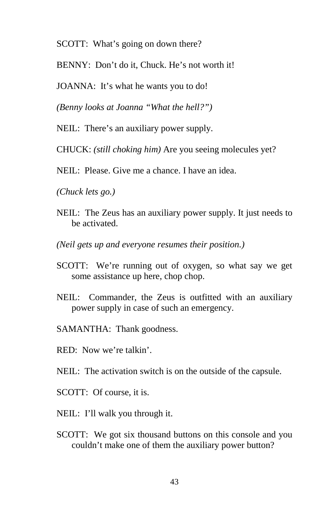SCOTT: What's going on down there?

BENNY: Don't do it, Chuck. He's not worth it!

JOANNA: It's what he wants you to do!

*(Benny looks at Joanna "What the hell?")* 

NEIL: There's an auxiliary power supply.

CHUCK: *(still choking him)* Are you seeing molecules yet?

NEIL: Please. Give me a chance. I have an idea.

*(Chuck lets go.)* 

- NEIL: The Zeus has an auxiliary power supply. It just needs to be activated.
- *(Neil gets up and everyone resumes their position.)*
- SCOTT: We're running out of oxygen, so what say we get some assistance up here, chop chop.
- NEIL: Commander, the Zeus is outfitted with an auxiliary power supply in case of such an emergency.
- SAMANTHA: Thank goodness.
- RED: Now we're talkin'.
- NEIL: The activation switch is on the outside of the capsule.
- SCOTT: Of course, it is.
- NEIL: I'll walk you through it.
- SCOTT: We got six thousand buttons on this console and you couldn't make one of them the auxiliary power button?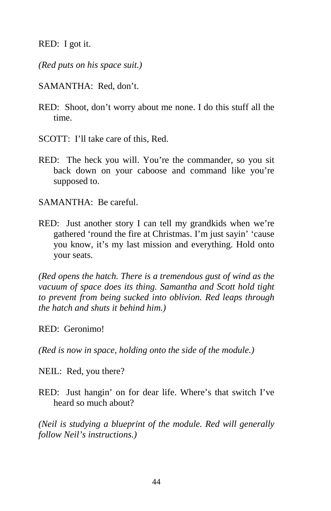RED: I got it.

*(Red puts on his space suit.)* 

- SAMANTHA: Red, don't.
- RED: Shoot, don't worry about me none. I do this stuff all the time.
- SCOTT: I'll take care of this, Red.
- RED: The heck you will. You're the commander, so you sit back down on your caboose and command like you're supposed to.

SAMANTHA: Be careful.

RED: Just another story I can tell my grandkids when we're gathered 'round the fire at Christmas. I'm just sayin' 'cause you know, it's my last mission and everything. Hold onto your seats.

*(Red opens the hatch. There is a tremendous gust of wind as the vacuum of space does its thing. Samantha and Scott hold tight to prevent from being sucked into oblivion. Red leaps through the hatch and shuts it behind him.)* 

RED: Geronimo!

*(Red is now in space, holding onto the side of the module.)* 

NEIL: Red, you there?

RED: Just hangin' on for dear life. Where's that switch I've heard so much about?

*(Neil is studying a blueprint of the module. Red will generally follow Neil's instructions.)*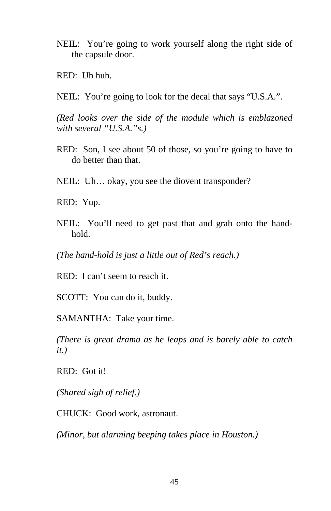- NEIL: You're going to work yourself along the right side of the capsule door.
- RED: Uh huh.
- NEIL: You're going to look for the decal that says "U.S.A.".

*(Red looks over the side of the module which is emblazoned with several "U.S.A."s.)* 

- RED: Son, I see about 50 of those, so you're going to have to do better than that.
- NEIL: Uh... okay, you see the diovent transponder?

RED: Yup.

NEIL: You'll need to get past that and grab onto the handhold.

*(The hand-hold is just a little out of Red's reach.)* 

RED: I can't seem to reach it.

SCOTT: You can do it, buddy.

SAMANTHA: Take your time.

*(There is great drama as he leaps and is barely able to catch it.)* 

RED: Got it!

*(Shared sigh of relief.)* 

CHUCK: Good work, astronaut.

*(Minor, but alarming beeping takes place in Houston.)*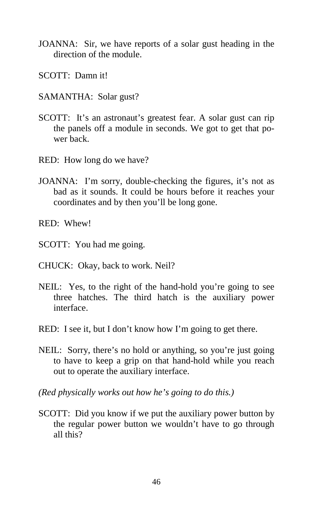- JOANNA: Sir, we have reports of a solar gust heading in the direction of the module.
- SCOTT: Damn it!
- SAMANTHA: Solar gust?
- SCOTT: It's an astronaut's greatest fear. A solar gust can rip the panels off a module in seconds. We got to get that power back.
- RED: How long do we have?
- JOANNA: I'm sorry, double-checking the figures, it's not as bad as it sounds. It could be hours before it reaches your coordinates and by then you'll be long gone.
- RED: Whew!
- SCOTT: You had me going.
- CHUCK: Okay, back to work. Neil?
- NEIL: Yes, to the right of the hand-hold you're going to see three hatches. The third hatch is the auxiliary power interface.
- RED: I see it, but I don't know how I'm going to get there.
- NEIL: Sorry, there's no hold or anything, so you're just going to have to keep a grip on that hand-hold while you reach out to operate the auxiliary interface.
- *(Red physically works out how he's going to do this.)*
- SCOTT: Did you know if we put the auxiliary power button by the regular power button we wouldn't have to go through all this?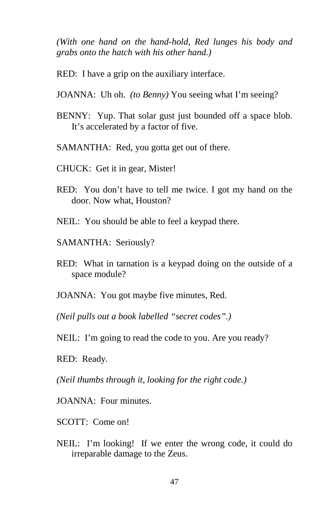*(With one hand on the hand-hold, Red lunges his body and grabs onto the hatch with his other hand.)* 

- RED: I have a grip on the auxiliary interface.
- JOANNA: Uh oh. *(to Benny)* You seeing what I'm seeing?
- BENNY: Yup. That solar gust just bounded off a space blob. It's accelerated by a factor of five.
- SAMANTHA: Red, you gotta get out of there.
- CHUCK: Get it in gear, Mister!
- RED: You don't have to tell me twice. I got my hand on the door. Now what, Houston?
- NEIL: You should be able to feel a keypad there.
- SAMANTHA: Seriously?
- RED: What in tarnation is a keypad doing on the outside of a space module?
- JOANNA: You got maybe five minutes, Red.

*(Neil pulls out a book labelled "secret codes".)* 

NEIL: I'm going to read the code to you. Are you ready?

RED: Ready.

*(Neil thumbs through it, looking for the right code.)* 

JOANNA: Four minutes.

- SCOTT: Come on!
- NEIL: I'm looking! If we enter the wrong code, it could do irreparable damage to the Zeus.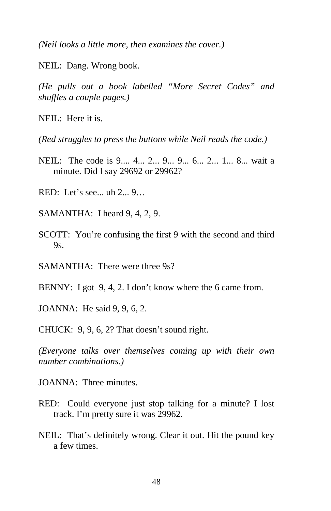*(Neil looks a little more, then examines the cover.)* 

NEIL: Dang. Wrong book.

*(He pulls out a book labelled "More Secret Codes" and shuffles a couple pages.)* 

 $N$ EIL: Here it is.

*(Red struggles to press the buttons while Neil reads the code.)* 

- NEIL: The code is 9.... 4... 2... 9... 9... 6... 2... 1... 8... wait a minute. Did I say 29692 or 29962?
- RED: Let's see... uh 2... 9…
- SAMANTHA: I heard 9, 4, 2, 9.
- SCOTT: You're confusing the first 9 with the second and third  $9s$ .
- SAMANTHA: There were three 9s?
- BENNY: I got 9, 4, 2. I don't know where the 6 came from.

JOANNA: He said 9, 9, 6, 2.

CHUCK: 9, 9, 6, 2? That doesn't sound right.

*(Everyone talks over themselves coming up with their own number combinations.)* 

JOANNA: Three minutes.

- RED: Could everyone just stop talking for a minute? I lost track. I'm pretty sure it was 29962.
- NEIL: That's definitely wrong. Clear it out. Hit the pound key a few times.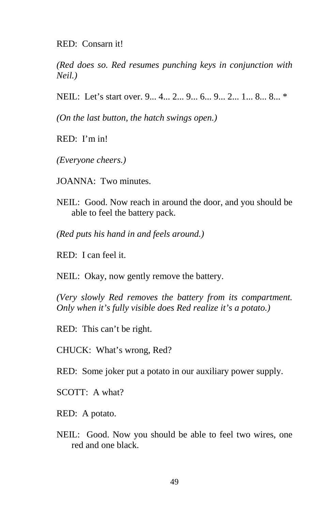RED: Consarn it!

*(Red does so. Red resumes punching keys in conjunction with Neil.)* 

NEIL: Let's start over. 9... 4... 2... 9... 6... 9... 2... 1... 8... 8... \*

*(On the last button, the hatch swings open.)* 

RED: I'm in!

*(Everyone cheers.)* 

JOANNA: Two minutes.

- NEIL: Good. Now reach in around the door, and you should be able to feel the battery pack.
- *(Red puts his hand in and feels around.)*
- RED: I can feel it.

NEIL: Okay, now gently remove the battery.

*(Very slowly Red removes the battery from its compartment. Only when it's fully visible does Red realize it's a potato.)* 

RED: This can't be right.

CHUCK: What's wrong, Red?

RED: Some joker put a potato in our auxiliary power supply.

SCOTT: A what?

RED: A potato.

NEIL: Good. Now you should be able to feel two wires, one red and one black.